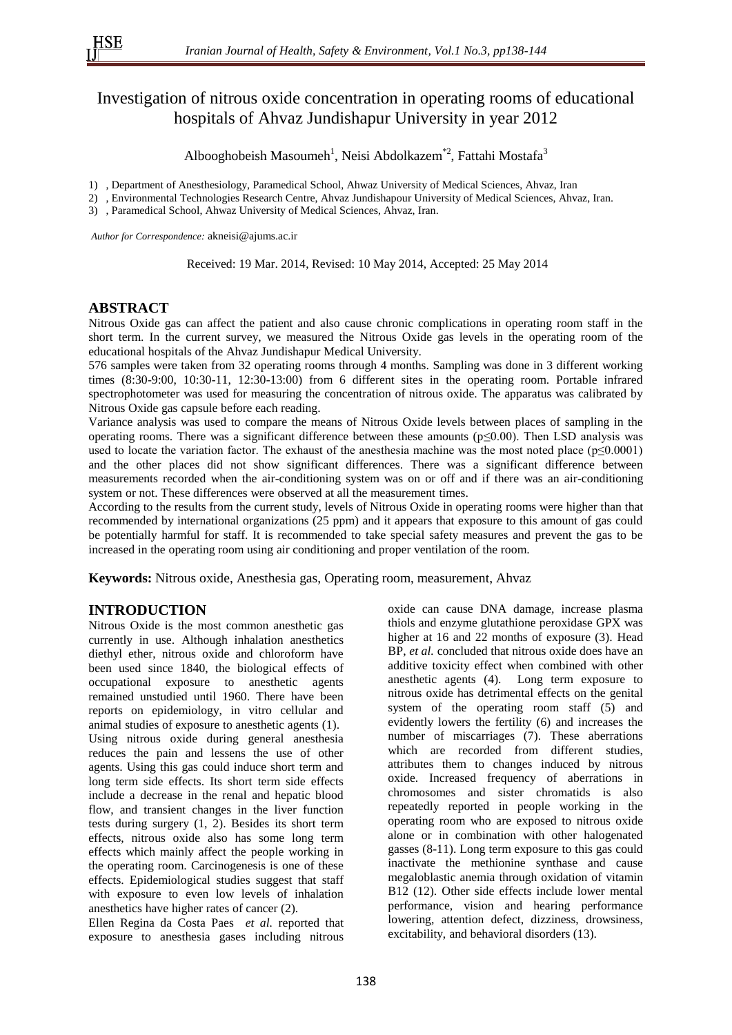# Investigation of nitrous oxide concentration in operating rooms of educational hospitals of Ahvaz Jundishapur University in year 2012

Albooghobeish Masoumeh<sup>1</sup>, Neisi Abdolkazem<sup>\*2</sup>, Fattahi Mostafa<sup>3</sup>

- 1) , Department of Anesthesiology, Paramedical School, Ahwaz University of Medical Sciences, Ahvaz, Iran
- 2) , Environmental Technologies Research Centre, Ahvaz Jundishapour University of Medical Sciences, Ahvaz, Iran.
- 3) , Paramedical School, Ahwaz University of Medical Sciences, Ahvaz, Iran.

*Author for Correspondence:* akneisi@ajums.ac.ir

Received: 19 Mar. 2014, Revised: 10 May 2014, Accepted: 25 May 2014

## **ABSTRACT**

Nitrous Oxide gas can affect the patient and also cause chronic complications in operating room staff in the short term. In the current survey, we measured the Nitrous Oxide gas levels in the operating room of the educational hospitals of the Ahvaz Jundishapur Medical University.

576 samples were taken from 32 operating rooms through 4 months. Sampling was done in 3 different working times (8:30-9:00, 10:30-11, 12:30-13:00) from 6 different sites in the operating room. Portable infrared spectrophotometer was used for measuring the concentration of nitrous oxide. The apparatus was calibrated by Nitrous Oxide gas capsule before each reading.

Variance analysis was used to compare the means of Nitrous Oxide levels between places of sampling in the operating rooms. There was a significant difference between these amounts ( $p \le 0.00$ ). Then LSD analysis was used to locate the variation factor. The exhaust of the anesthesia machine was the most noted place ( $p \le 0.0001$ ) and the other places did not show significant differences. There was a significant difference between measurements recorded when the air-conditioning system was on or off and if there was an air-conditioning system or not. These differences were observed at all the measurement times.

According to the results from the current study, levels of Nitrous Oxide in operating rooms were higher than that recommended by international organizations (25 ppm) and it appears that exposure to this amount of gas could be potentially harmful for staff. It is recommended to take special safety measures and prevent the gas to be increased in the operating room using air conditioning and proper ventilation of the room.

**Keywords:** Nitrous oxide, Anesthesia gas, Operating room, measurement, Ahvaz

# **INTRODUCTION**

Nitrous Oxide is the most common anesthetic gas currently in use. Although inhalation anesthetics diethyl ether, nitrous oxide and chloroform have been used since 1840, the biological effects of occupational exposure to anesthetic agents remained unstudied until 1960. There have been reports on epidemiology, in vitro cellular and animal studies of exposure to anesthetic agents (1). Using nitrous oxide during general anesthesia reduces the pain and lessens the use of other agents. Using this gas could induce short term and long term side effects. Its short term side effects include a decrease in the renal and hepatic blood flow, and transient changes in the liver function tests during surgery (1, 2). Besides its short term effects, nitrous oxide also has some long term effects which mainly affect the people working in the operating room. Carcinogenesis is one of these effects. Epidemiological studies suggest that staff with exposure to even low levels of inhalation anesthetics have higher rates of cancer (2).

Ellen Regina da Costa Paes *et al.* reported that exposure to anesthesia gases including nitrous oxide can cause DNA damage, increase plasma thiols and enzyme glutathione peroxidase GPX was higher at 16 and 22 months of exposure (3). Head BP, *et al.* concluded that nitrous oxide does have an additive toxicity effect when combined with other anesthetic agents (4). Long term exposure to nitrous oxide has detrimental effects on the genital system of the operating room staff (5) and evidently lowers the fertility (6) and increases the number of miscarriages (7). These aberrations which are recorded from different studies, attributes them to changes induced by nitrous oxide. Increased frequency of aberrations in chromosomes and sister chromatids is also repeatedly reported in people working in the operating room who are exposed to nitrous oxide alone or in combination with other halogenated gasses (8-11). Long term exposure to this gas could inactivate the methionine synthase and cause megaloblastic anemia through oxidation of vitamin B12 (12). Other side effects include lower mental performance, vision and hearing performance lowering, attention defect, dizziness, drowsiness, excitability, and behavioral disorders (13).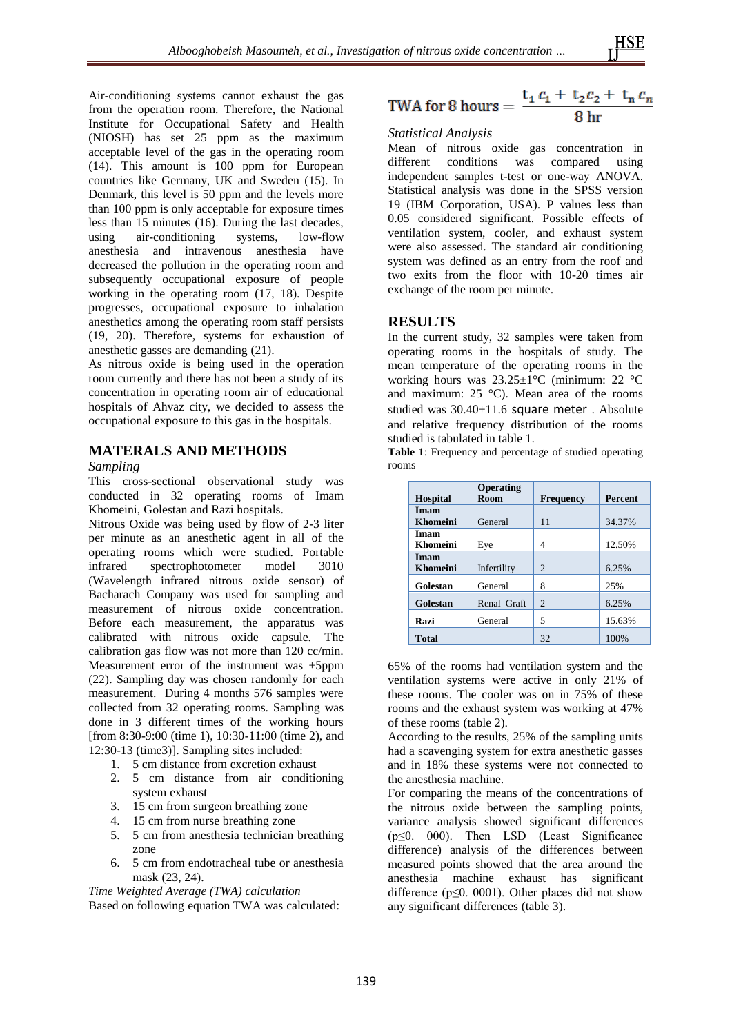Air-conditioning systems cannot exhaust the gas from the operation room. Therefore, the National Institute for Occupational Safety and Health (NIOSH) has set 25 ppm as the maximum acceptable level of the gas in the operating room (14). This amount is 100 ppm for European countries like Germany, UK and Sweden (15). In Denmark, this level is 50 ppm and the levels more than 100 ppm is only acceptable for exposure times less than 15 minutes (16). During the last decades,<br>using air-conditioning systems. low-flow using air-conditioning systems, anesthesia and intravenous anesthesia have decreased the pollution in the operating room and subsequently occupational exposure of people working in the operating room (17, 18). Despite progresses, occupational exposure to inhalation anesthetics among the operating room staff persists (19, 20). Therefore, systems for exhaustion of anesthetic gasses are demanding (21).

As nitrous oxide is being used in the operation room currently and there has not been a study of its concentration in operating room air of educational hospitals of Ahvaz city, we decided to assess the occupational exposure to this gas in the hospitals.

# **MATERALS AND METHODS**

#### *Sampling*

This cross-sectional observational study was conducted in 32 operating rooms of Imam Khomeini, Golestan and Razi hospitals.

Nitrous Oxide was being used by flow of 2-3 liter per minute as an anesthetic agent in all of the operating rooms which were studied. Portable infrared spectrophotometer model 3010 (Wavelength infrared nitrous oxide sensor) of Bacharach Company was used for sampling and measurement of nitrous oxide concentration. Before each measurement, the apparatus was calibrated with nitrous oxide capsule. The calibration gas flow was not more than 120 cc/min. Measurement error of the instrument was ±5ppm (22). Sampling day was chosen randomly for each measurement. During 4 months 576 samples were collected from 32 operating rooms. Sampling was done in 3 different times of the working hours [from 8:30-9:00 (time 1), 10:30-11:00 (time 2), and 12:30-13 (time3)]. Sampling sites included:

- 1. 5 cm distance from excretion exhaust
- 2. 5 cm distance from air conditioning system exhaust
- 3. 15 cm from surgeon breathing zone
- 4. 15 cm from nurse breathing zone
- 5. 5 cm from anesthesia technician breathing zone
- 6. 5 cm from endotracheal tube or anesthesia mask (23, 24).

*Time Weighted Average (TWA) calculation* Based on following equation TWA was calculated:

TWA for 8 hours = 
$$
\frac{t_1 c_1 + t_2 c_2 + t_n c_n}{8 \text{ hr}}
$$

#### *Statistical Analysis*

Mean of nitrous oxide gas concentration in different conditions was compared using independent samples t-test or one-way ANOVA. Statistical analysis was done in the SPSS version 19 (IBM Corporation, USA). P values less than 0.05 considered significant. Possible effects of ventilation system, cooler, and exhaust system were also assessed. The standard air conditioning system was defined as an entry from the roof and two exits from the floor with 10-20 times air exchange of the room per minute.

## **RESULTS**

In the current study, 32 samples were taken from operating rooms in the hospitals of study. The mean temperature of the operating rooms in the working hours was 23.25±1°C (minimum: 22 °C and maximum: 25 °C). Mean area of the rooms studied was 30.40±11.6 square meter . Absolute and relative frequency distribution of the rooms studied is tabulated in table 1.

**Table 1**: Frequency and percentage of studied operating rooms

|                 | <b>Operating</b> |                             |                |  |
|-----------------|------------------|-----------------------------|----------------|--|
| <b>Hospital</b> | Room             | <b>Frequency</b>            | <b>Percent</b> |  |
| Imam            |                  |                             |                |  |
| <b>Khomeini</b> | General          | 11                          | 34.37%         |  |
| Imam            |                  |                             |                |  |
| Khomeini        | Eye              | 4                           | 12.50%         |  |
| Imam            |                  |                             |                |  |
| <b>Khomeini</b> | Infertility      | $\overline{c}$              | 6.25%          |  |
| Golestan        | General          | 8                           | 25%            |  |
| Golestan        | Renal Graft      | $\mathcal{D}_{\mathcal{L}}$ | 6.25%          |  |
| Razi            | General          | 5                           | 15.63%         |  |
| <b>Total</b>    |                  | 32                          | 100%           |  |

65% of the rooms had ventilation system and the ventilation systems were active in only 21% of these rooms. The cooler was on in 75% of these rooms and the exhaust system was working at 47% of these rooms (table 2).

According to the results, 25% of the sampling units had a scavenging system for extra anesthetic gasses and in 18% these systems were not connected to the anesthesia machine.

For comparing the means of the concentrations of the nitrous oxide between the sampling points, variance analysis showed significant differences (p≤0. 000). Then LSD (Least Significance difference) analysis of the differences between measured points showed that the area around the anesthesia machine exhaust has significant difference ( $p \le 0$ . 0001). Other places did not show any significant differences (table 3).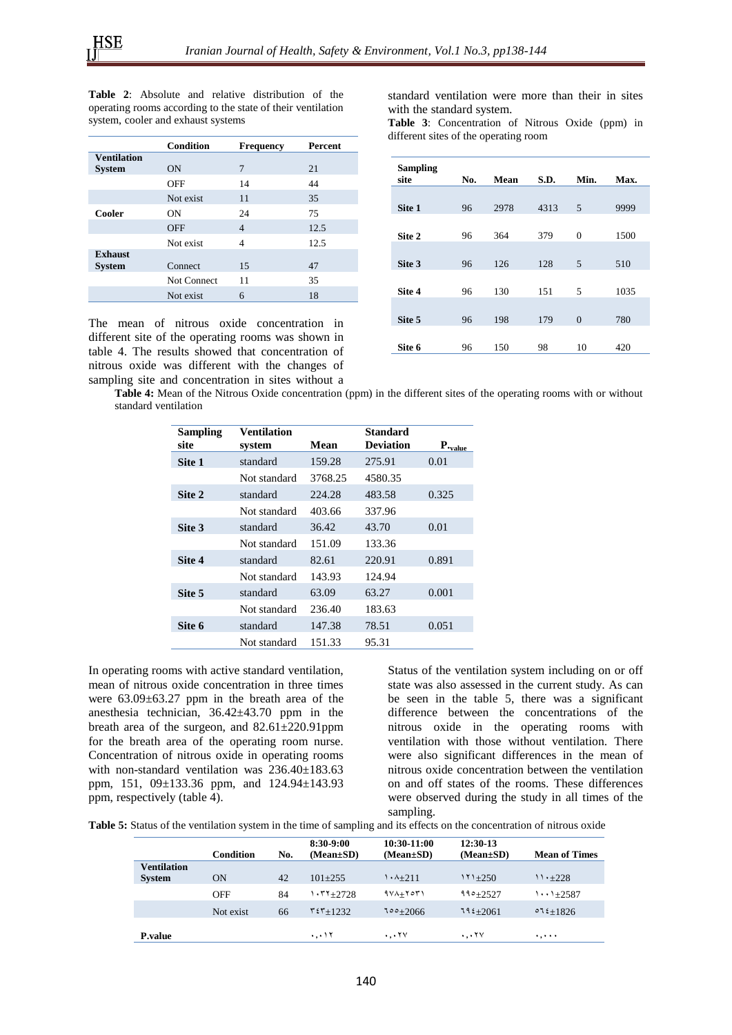**Table 2**: Absolute and relative distribution of the operating rooms according to the state of their ventilation system, cooler and exhaust systems

|                    | <b>Condition</b> | <b>Frequency</b> | <b>Percent</b> |
|--------------------|------------------|------------------|----------------|
| <b>Ventilation</b> |                  |                  |                |
| <b>System</b>      | <b>ON</b>        | 7                | 21             |
|                    | OFF              | 14               | 44             |
|                    | Not exist        | 11               | 35             |
| Cooler             | ON               | 24               | 75             |
|                    | <b>OFF</b>       | $\overline{4}$   | 12.5           |
|                    | Not exist        | 4                | 12.5           |
| <b>Exhaust</b>     |                  |                  |                |
| <b>System</b>      | Connect          | 15               | 47             |
|                    | Not Connect      | 11               | 35             |
|                    | Not exist        | 6                | 18             |

The mean of nitrous oxide concentration in different site of the operating rooms was shown in table 4. The results showed that concentration of nitrous oxide was different with the changes of sampling site and concentration in sites without a

standard ventilation were more than their in sites with the standard system.

**Table 3**: Concentration of Nitrous Oxide (ppm) in different sites of the operating room

| <b>Sampling</b><br>site | No. | Mean | S.D. | Min.           | Max. |
|-------------------------|-----|------|------|----------------|------|
|                         |     |      |      |                |      |
| Site 1                  | 96  | 2978 | 4313 | 5              | 9999 |
|                         |     |      |      |                |      |
| Site 2                  | 96  | 364  | 379  | $\theta$       | 1500 |
|                         |     |      |      |                |      |
| Site 3                  | 96  | 126  | 128  | 5              | 510  |
|                         |     |      |      |                |      |
| Site 4                  | 96  | 130  | 151  | 5              | 1035 |
|                         |     |      |      |                |      |
| Site 5                  | 96  | 198  | 179  | $\overline{0}$ | 780  |
|                         |     |      |      |                |      |
| Site 6                  | 96  | 150  | 98   | 10             | 420  |

**Table 4:** Mean of the Nitrous Oxide concentration (ppm) in the different sites of the operating rooms with or without standard ventilation

| <b>Sampling</b><br>site | Ventilation<br>system | Mean    | Standard<br><b>Deviation</b> | $P_{\text{value}}$ |
|-------------------------|-----------------------|---------|------------------------------|--------------------|
| Site 1                  | standard              | 159.28  | 275.91                       | 0.01               |
|                         | Not standard          | 3768.25 | 4580.35                      |                    |
| Site 2                  | standard              | 224.28  | 483.58                       | 0.325              |
|                         | Not standard          | 403.66  | 337.96                       |                    |
| Site 3                  | standard              | 36.42   | 43.70                        | 0.01               |
|                         | Not standard          | 151.09  | 133.36                       |                    |
| Site 4                  | standard              | 82.61   | 220.91                       | 0.891              |
|                         | Not standard          | 143.93  | 124.94                       |                    |
| Site 5                  | standard              | 63.09   | 63.27                        | 0.001              |
|                         | Not standard          | 236.40  | 183.63                       |                    |
| Site 6                  | standard              | 147.38  | 78.51                        | 0.051              |
|                         | Not standard          | 151.33  | 95.31                        |                    |

In operating rooms with active standard ventilation, mean of nitrous oxide concentration in three times were 63.09±63.27 ppm in the breath area of the anesthesia technician, 36.42±43.70 ppm in the breath area of the surgeon, and 82.61±220.91ppm for the breath area of the operating room nurse. Concentration of nitrous oxide in operating rooms with non-standard ventilation was 236.40±183.63 ppm, 151, 09±133.36 ppm, and 124.94±143.93 ppm, respectively (table 4).

Status of the ventilation system including on or off state was also assessed in the current study. As can be seen in the table 5, there was a significant difference between the concentrations of the nitrous oxide in the operating rooms with ventilation with those without ventilation. There were also significant differences in the mean of nitrous oxide concentration between the ventilation on and off states of the rooms. These differences were observed during the study in all times of the sampling.

**Table 5:** Status of the ventilation system in the time of sampling and its effects on the concentration of nitrous oxide

|                                     | Condition  | No. | 8:30-9:00<br>$(Mean \pm SD)$ | 10:30-11:00<br>$(Mean \pm SD)$ | 12:30-13<br>$(Mean \pm SD)$ | <b>Mean of Times</b> |
|-------------------------------------|------------|-----|------------------------------|--------------------------------|-----------------------------|----------------------|
| <b>Ventilation</b><br><b>System</b> | ON         | 42  | $101+255$                    | $1.4 + 2.11$                   | $111 + 250$                 | $11 \cdot +228$      |
|                                     | <b>OFF</b> | 84  | $.77 + 2728$                 | $9Y\lambda + Y$                | $990 + 2527$                | $\cdots$ 1+2587      |
|                                     | Not exist  | 66  | $55 + 1232$                  | $100+2066$                     | $112+2061$                  | $012+1826$           |
| <b>P.value</b>                      |            |     | ۰٫۰۱۲                        | $\cdots$ YV                    | $\cdots$                    |                      |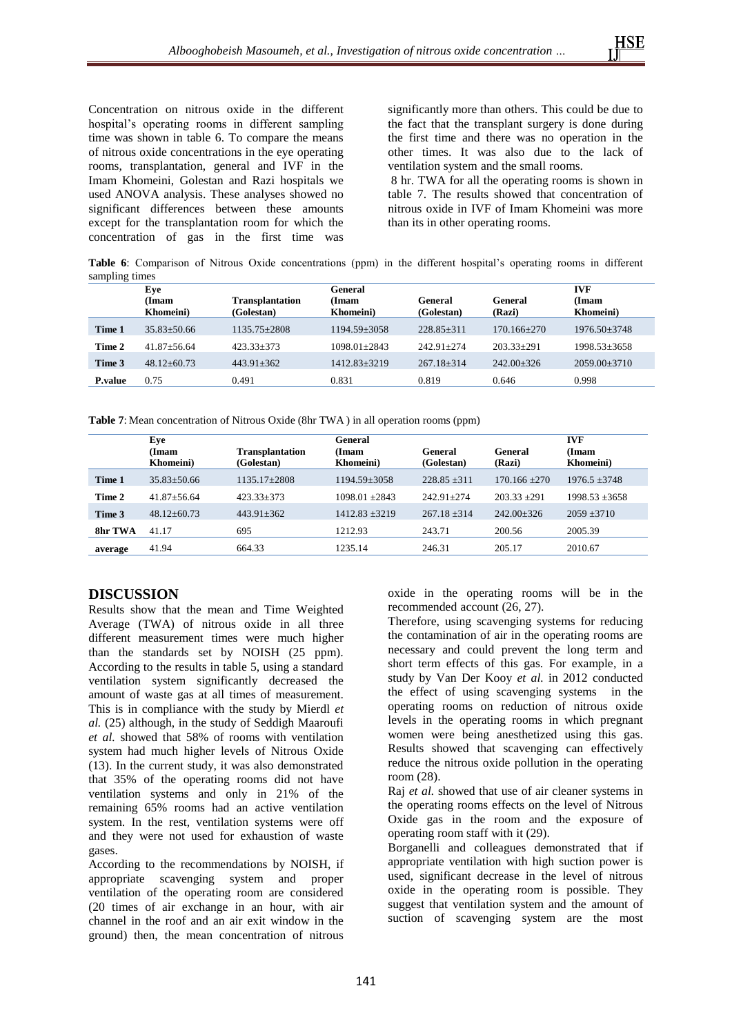Concentration on nitrous oxide in the different hospital's operating rooms in different sampling time was shown in table 6. To compare the means of nitrous oxide concentrations in the eye operating rooms, transplantation, general and IVF in the Imam Khomeini, Golestan and Razi hospitals we used ANOVA analysis. These analyses showed no significant differences between these amounts except for the transplantation room for which the concentration of gas in the first time was

significantly more than others. This could be due to the fact that the transplant surgery is done during the first time and there was no operation in the other times. It was also due to the lack of ventilation system and the small rooms.

8 hr. TWA for all the operating rooms is shown in table 7. The results showed that concentration of nitrous oxide in IVF of Imam Khomeini was more than its in other operating rooms.

**Table 6**: Comparison of Nitrous Oxide concentrations (ppm) in the different hospital's operating rooms in different sampling times

|                 | Eye                               |                                      | General            | <b>IVF</b>            |                   |                          |
|-----------------|-----------------------------------|--------------------------------------|--------------------|-----------------------|-------------------|--------------------------|
|                 | <b>(Imam</b><br><b>Khomeini</b> ) | <b>Transplantation</b><br>(Golestan) | (Imam<br>Khomeini) | General<br>(Golestan) | General<br>(Razi) | <b>Imam</b><br>Khomeini) |
| Time 1          | $35.83 \pm 50.66$                 | $1135.75 \pm 2808$                   | $1194.59 \pm 3058$ | $228.85 \pm 311$      | $170.166 + 270$   | $1976.50 \pm 3748$       |
| Time 2          | $41.87 + 56.64$                   | $423.33+373$                         | $1098.01 + 2843$   | $242.91 + 274$        | $203.33+291$      | $1998.53 \pm 3658$       |
| Time 3          | $48.12 \pm 60.73$                 | $443.91 \pm 362$                     | $1412.83 \pm 3219$ | $267.18 \pm 314$      | $242.00 \pm 326$  | $2059.00 \pm 3710$       |
| <b>P</b> .value | 0.75                              | 0.491                                | 0.831              | 0.819                 | 0.646             | 0.998                    |

**Table 7**: Mean concentration of Nitrous Oxide (8hr TWA ) in all operation rooms (ppm)

|         | Eye<br>(Imam<br>Khomeini) | <b>Transplantation</b><br>(Golestan) | General<br>(Imam<br><b>Khomeini</b> ) | General<br>(Golestan) | General<br>(Razi) | <b>IVF</b><br>(Imam<br>Khomeini) |
|---------|---------------------------|--------------------------------------|---------------------------------------|-----------------------|-------------------|----------------------------------|
| Time 1  | $35.83 \pm 50.66$         | 1135.17+2808                         | 1194.59+3058                          | $228.85 + 311$        | $170.166 + 270$   | $1976.5 + 3748$                  |
| Time 2  | $41.87 + 56.64$           | $423.33+373$                         | $1098.01 + 2843$                      | $242.91 + 274$        | $203.33 + 291$    | $1998.53 + 3658$                 |
| Time 3  | $48.12 + 60.73$           | $443.91 \pm 362$                     | $1412.83 \pm 3219$                    | $267.18 + 314$        | $242.00+326$      | $2059 \pm 3710$                  |
| 8hr TWA | 41.17                     | 695                                  | 1212.93                               | 243.71                | 200.56            | 2005.39                          |
| average | 41.94                     | 664.33                               | 1235.14                               | 246.31                | 205.17            | 2010.67                          |

# **DISCUSSION**

Results show that the mean and Time Weighted Average (TWA) of nitrous oxide in all three different measurement times were much higher than the standards set by NOISH (25 ppm). According to the results in table 5, using a standard ventilation system significantly decreased the amount of waste gas at all times of measurement. This is in compliance with the study by Mierdl *et al.* (25) although, in the study of Seddigh Maaroufi *et al.* showed that 58% of rooms with ventilation system had much higher levels of Nitrous Oxide (13). In the current study, it was also demonstrated that 35% of the operating rooms did not have ventilation systems and only in 21% of the remaining 65% rooms had an active ventilation system. In the rest, ventilation systems were off and they were not used for exhaustion of waste gases.

According to the recommendations by NOISH, if appropriate scavenging system and proper ventilation of the operating room are considered (20 times of air exchange in an hour, with air channel in the roof and an air exit window in the ground) then, the mean concentration of nitrous

oxide in the operating rooms will be in the recommended account (26, 27).

Therefore, using scavenging systems for reducing the contamination of air in the operating rooms are necessary and could prevent the long term and short term effects of this gas. For example, in a study by Van Der Kooy *et al.* in 2012 conducted the effect of using scavenging systems in the operating rooms on reduction of nitrous oxide levels in the operating rooms in which pregnant women were being anesthetized using this gas. Results showed that scavenging can effectively reduce the nitrous oxide pollution in the operating room (28).

Raj *et al.* showed that use of air cleaner systems in the operating rooms effects on the level of Nitrous Oxide gas in the room and the exposure of operating room staff with it (29).

Borganelli and colleagues demonstrated that if appropriate ventilation with high suction power is used, significant decrease in the level of nitrous oxide in the operating room is possible. They suggest that ventilation system and the amount of suction of scavenging system are the most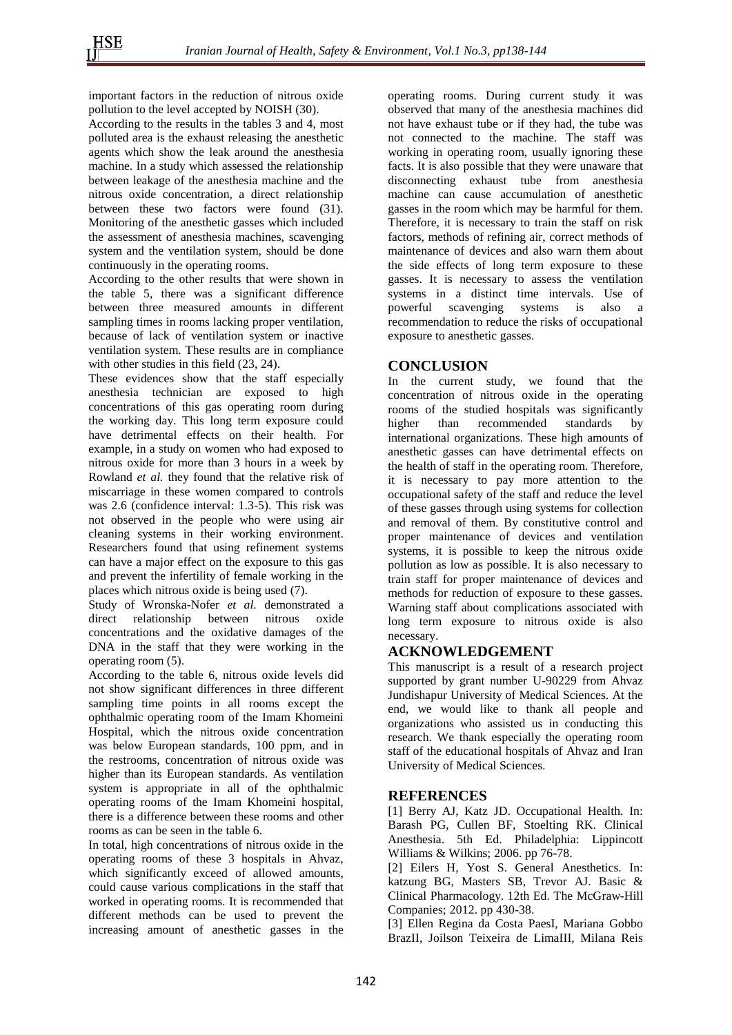important factors in the reduction of nitrous oxide pollution to the level accepted by NOISH (30).

According to the results in the tables 3 and 4, most polluted area is the exhaust releasing the anesthetic agents which show the leak around the anesthesia machine. In a study which assessed the relationship between leakage of the anesthesia machine and the nitrous oxide concentration, a direct relationship between these two factors were found (31). Monitoring of the anesthetic gasses which included the assessment of anesthesia machines, scavenging system and the ventilation system, should be done continuously in the operating rooms.

According to the other results that were shown in the table 5, there was a significant difference between three measured amounts in different sampling times in rooms lacking proper ventilation, because of lack of ventilation system or inactive ventilation system. These results are in compliance with other studies in this field (23, 24).

These evidences show that the staff especially anesthesia technician are exposed to high concentrations of this gas operating room during the working day. This long term exposure could have detrimental effects on their health. For example, in a study on women who had exposed to nitrous oxide for more than 3 hours in a week by Rowland *et al.* they found that the relative risk of miscarriage in these women compared to controls was 2.6 (confidence interval: 1.3-5). This risk was not observed in the people who were using air cleaning systems in their working environment. Researchers found that using refinement systems can have a major effect on the exposure to this gas and prevent the infertility of female working in the places which nitrous oxide is being used (7).

Study of Wronska-Nofer *et al.* demonstrated a direct relationship between nitrous oxide concentrations and the oxidative damages of the DNA in the staff that they were working in the operating room (5).

According to the table 6, nitrous oxide levels did not show significant differences in three different sampling time points in all rooms except the ophthalmic operating room of the Imam Khomeini Hospital, which the nitrous oxide concentration was below European standards, 100 ppm, and in the restrooms, concentration of nitrous oxide was higher than its European standards. As ventilation system is appropriate in all of the ophthalmic operating rooms of the Imam Khomeini hospital, there is a difference between these rooms and other rooms as can be seen in the table 6.

In total, high concentrations of nitrous oxide in the operating rooms of these 3 hospitals in Ahvaz, which significantly exceed of allowed amounts, could cause various complications in the staff that worked in operating rooms. It is recommended that different methods can be used to prevent the increasing amount of anesthetic gasses in the

operating rooms. During current study it was observed that many of the anesthesia machines did not have exhaust tube or if they had, the tube was not connected to the machine. The staff was working in operating room, usually ignoring these facts. It is also possible that they were unaware that disconnecting exhaust tube from anesthesia machine can cause accumulation of anesthetic gasses in the room which may be harmful for them. Therefore, it is necessary to train the staff on risk factors, methods of refining air, correct methods of maintenance of devices and also warn them about the side effects of long term exposure to these gasses. It is necessary to assess the ventilation systems in a distinct time intervals. Use of powerful scavenging systems is also a recommendation to reduce the risks of occupational exposure to anesthetic gasses.

## **CONCLUSION**

In the current study, we found that the concentration of nitrous oxide in the operating rooms of the studied hospitals was significantly higher than recommended standards by international organizations. These high amounts of anesthetic gasses can have detrimental effects on the health of staff in the operating room. Therefore, it is necessary to pay more attention to the occupational safety of the staff and reduce the level of these gasses through using systems for collection and removal of them. By constitutive control and proper maintenance of devices and ventilation systems, it is possible to keep the nitrous oxide pollution as low as possible. It is also necessary to train staff for proper maintenance of devices and methods for reduction of exposure to these gasses. Warning staff about complications associated with long term exposure to nitrous oxide is also necessary.

# **ACKNOWLEDGEMENT**

This manuscript is a result of a research project supported by grant number U-90229 from Ahvaz Jundishapur University of Medical Sciences. At the end, we would like to thank all people and organizations who assisted us in conducting this research. We thank especially the operating room staff of the educational hospitals of Ahvaz and Iran University of Medical Sciences.

#### **REFERENCES**

[1] Berry AJ, Katz JD. Occupational Health. In: Barash PG, Cullen BF, Stoelting RK. Clinical Anesthesia. 5th Ed. Philadelphia: Lippincott Williams & Wilkins; 2006. pp 76-78.

[2] Eilers H, Yost S. General Anesthetics. In: katzung BG, Masters SB, Trevor AJ. Basic & Clinical Pharmacology. 12th Ed. The McGraw-Hill Companies; 2012. pp 430-38.

[3] Ellen Regina da Costa PaesI, Mariana Gobbo BrazII, Joilson Teixeira de LimaIII, Milana Reis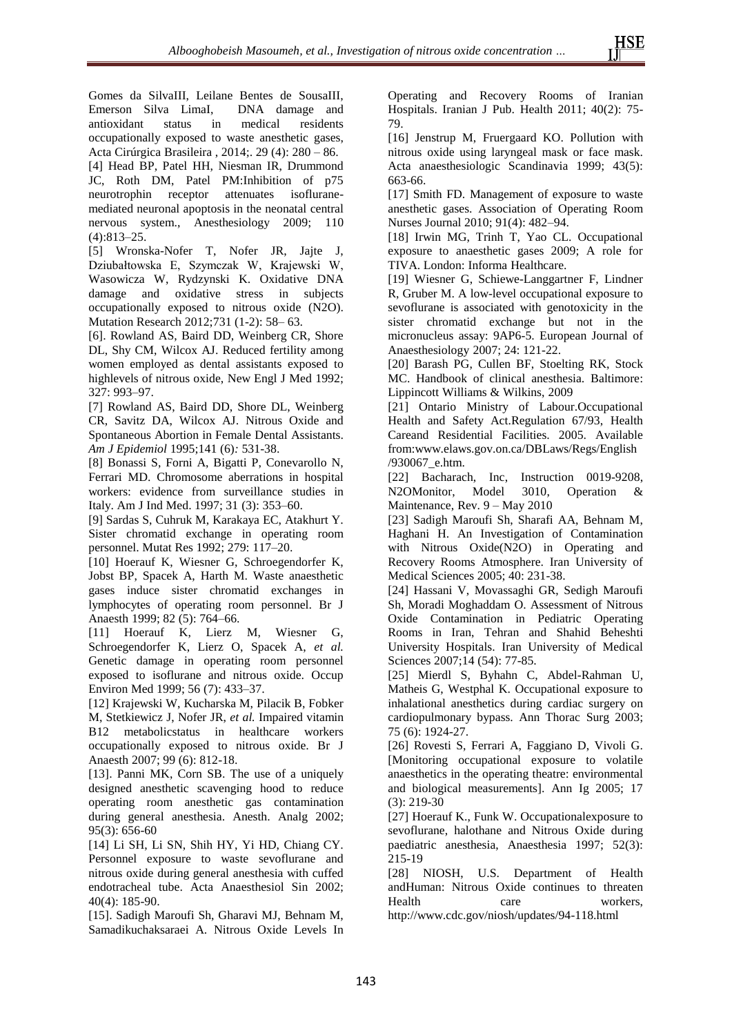Gomes da SilvaIII, Leilane Bentes de SousaIII, Emerson Silva LimaI, DNA damage and antioxidant status in medical residents occupationally exposed to waste anesthetic gases, Acta Cirúrgica Brasileira , 2014;. 29 (4): 280 – 86. [4] Head BP, Patel HH, Niesman IR, Drummond JC, Roth DM, Patel PM:Inhibition of p75 neurotrophin receptor attenuates isofluranemediated neuronal apoptosis in the neonatal central nervous system., Anesthesiology 2009; 110 (4):813–25.

[5] Wronska-Nofer T, Nofer JR, Jajte J, Dziubałtowska E, Szymczak W, Krajewski W, Wasowicza W, Rydzynski K. Oxidative DNA damage and oxidative stress in subjects occupationally exposed to nitrous oxide (N2O). Mutation Research 2012;731 (1-2): 58– 63.

[6]. Rowland AS, Baird DD, Weinberg CR, Shore DL, Shy CM, Wilcox AJ. Reduced fertility among women employed as dental assistants exposed to highlevels of nitrous oxide, New Engl J Med 1992; 327: 993–97.

[7] Rowland AS, Baird DD, Shore DL, Weinberg CR, Savitz DA, Wilcox AJ. Nitrous Oxide and Spontaneous Abortion in Female Dental Assistants. *Am J Epidemiol* 1995;141 (6)*:* 531-38.

[8] Bonassi S, Forni A, Bigatti P, Conevarollo N, Ferrari MD. Chromosome aberrations in hospital workers: evidence from surveillance studies in Italy. Am J Ind Med. 1997; 31 (3): 353–60.

[9] Sardas S, Cuhruk M, Karakaya EC, Atakhurt Y. Sister chromatid exchange in operating room personnel. Mutat Res 1992; 279: 117–20.

[10] Hoerauf K, Wiesner G, Schroegendorfer K, Jobst BP, Spacek A, Harth M. Waste anaesthetic gases induce sister chromatid exchanges in lymphocytes of operating room personnel. Br J Anaesth 1999; 82 (5): 764–66.

[11] Hoerauf K, Lierz M, Wiesner G, Schroegendorfer K, Lierz O, Spacek A, *et al.* Genetic damage in operating room personnel exposed to isoflurane and nitrous oxide. Occup Environ Med 1999; 56 (7): 433–37.

[12] Krajewski W, Kucharska M, Pilacik B, Fobker M, Stetkiewicz J, Nofer JR, *et al.* Impaired vitamin B12 metabolicstatus in healthcare workers occupationally exposed to nitrous oxide. Br J Anaesth 2007; 99 (6): 812-18.

[13]. Panni MK, Corn SB. The use of a uniquely designed anesthetic scavenging hood to reduce operating room anesthetic gas contamination during general anesthesia. Anesth. Analg 2002; 95(3): 656-60

[14] Li SH, Li SN, Shih HY, Yi HD, Chiang CY. Personnel exposure to waste sevoflurane and nitrous oxide during general anesthesia with cuffed endotracheal tube. Acta Anaesthesiol Sin 2002; 40(4): 185-90.

[15]. Sadigh Maroufi Sh, Gharavi MJ, Behnam M, Samadikuchaksaraei A. Nitrous Oxide Levels In Operating and Recovery Rooms of Iranian Hospitals. Iranian J Pub. Health 2011; 40(2): 75- 79.

[16] Jenstrup M, Fruergaard KO. Pollution with nitrous oxide using laryngeal mask or face mask. Acta anaesthesiologic Scandinavia 1999; 43(5): 663-66.

[17] Smith FD. Management of exposure to waste anesthetic gases. Association of Operating Room Nurses Journal 2010; 91(4): 482–94.

[18] Irwin MG, Trinh T, Yao CL. Occupational exposure to anaesthetic gases 2009; A role for TIVA. London: Informa Healthcare.

[19] Wiesner G, Schiewe-Langgartner F, Lindner R, Gruber M. A low-level occupational exposure to sevoflurane is associated with genotoxicity in the sister chromatid exchange but not in the micronucleus assay: 9AP6-5. European Journal of Anaesthesiology 2007; 24: 121-22.

[20] Barash PG, Cullen BF, Stoelting RK, Stock MC. Handbook of clinical anesthesia. Baltimore: Lippincott Williams & Wilkins, 2009

[21] Ontario Ministry of Labour.Occupational Health and Safety Act.Regulation 67/93, Health Careand Residential Facilities. 2005. Available from[:www.elaws.gov.on.ca/DBLaws/Regs/English](http://www.elaws.gov.on.ca/DBLaws/Regs/English/930067_e.htm) [/930067\\_e.htm.](http://www.elaws.gov.on.ca/DBLaws/Regs/English/930067_e.htm)

[22] Bacharach, Inc, Instruction 0019-9208, N2OMonitor, Model 3010, Operation & Maintenance, Rev. 9 – May 2010

[23] Sadigh Maroufi Sh, Sharafi AA, Behnam M, Haghani H. An Investigation of Contamination with Nitrous Oxide(N2O) in Operating and Recovery Rooms Atmosphere. Iran University of Medical Sciences 2005; 40: 231-38.

[24] Hassani V, Movassaghi GR, Sedigh Maroufi Sh, Moradi Moghaddam O. Assessment of Nitrous Oxide Contamination in Pediatric Operating Rooms in Iran, Tehran and Shahid Beheshti University Hospitals. Iran University of Medical Sciences 2007;14 (54): 77-85.

[25] Mierdl S, Byhahn C, Abdel-Rahman U, Matheis G, Westphal K. Occupational exposure to inhalational anesthetics during cardiac surgery on cardiopulmonary bypass. Ann Thorac Surg 2003; 75 (6): 1924-27.

[26] Rovesti S, Ferrari A, Faggiano D, Vivoli G. [Monitoring occupational exposure to volatile anaesthetics in the operating theatre: environmental and biological measurements]. Ann Ig 2005; 17 (3): 219-30

[27] Hoerauf K., Funk W. Occupationalexposure to sevoflurane, halothane and Nitrous Oxide during paediatric anesthesia, Anaesthesia 1997; 52(3): 215-19

[28] NIOSH, U.S. Department of Health andHuman: Nitrous Oxide continues to threaten Health care workers, http://www.cdc.gov/niosh/updates/94-118.html